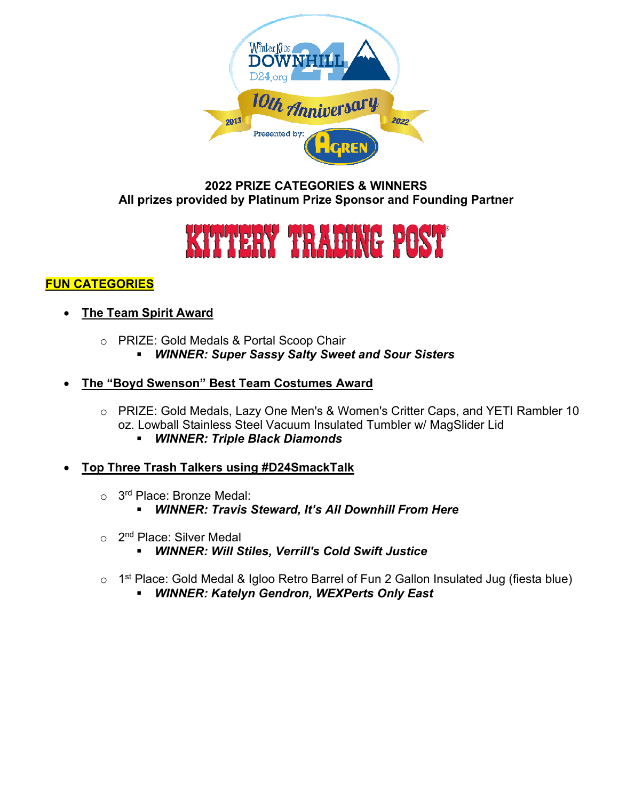

### **2022 PRIZE CATEGORIES & WINNERS All prizes provided by Platinum Prize Sponsor and Founding Partner**



## **FUN CATEGORIES**

- **The Team Spirit Award**
	- o PRIZE: Gold Medals & Portal Scoop Chair *WINNER: Super Sassy Salty Sweet and Sour Sisters*

## • **The "Boyd Swenson" Best Team Costumes Award**

- o PRIZE: Gold Medals, Lazy One Men's & Women's Critter Caps, and YETI Rambler 10 oz. Lowball Stainless Steel Vacuum Insulated Tumbler w/ MagSlider Lid
	- *WINNER: Triple Black Diamonds*
- **Top Three Trash Talkers using #D24SmackTalk**
	- o 3<sup>rd</sup> Place: Bronze Medal:
		- *WINNER: Travis Steward, It's All Downhill From Here*
	- $\circ$  2<sup>nd</sup> Place: Silver Medal
		- *WINNER: Will Stiles, Verrill's Cold Swift Justice*
	- o 1<sup>st</sup> Place: Gold Medal & Igloo Retro Barrel of Fun 2 Gallon Insulated Jug (fiesta blue)<br>WINNER: Katelyn Gendron, WEXPerts Only East
		- *WINNER: Katelyn Gendron, WEXPerts Only East*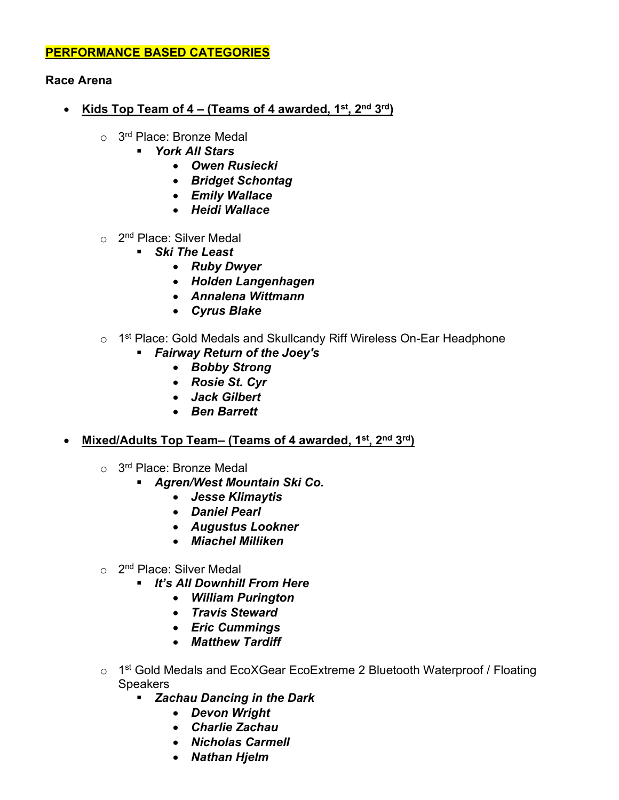#### **PERFORMANCE BASED CATEGORIES**

#### **Race Arena**

- **Kids Top Team of 4 – (Teams of 4 awarded, 1st, 2nd 3rd)**
	- o 3<sup>rd</sup> Place: Bronze Medal
		- *York All Stars*
			- *Owen Rusiecki*
			- *Bridget Schontag*
			- *Emily Wallace*
			- *Heidi Wallace*
	- $\circ$  2<sup>nd</sup> Place: Silver Medal
		- *Ski The Least*
			- *Ruby Dwyer*
			- *Holden Langenhagen*
			- *Annalena Wittmann*
			- *Cyrus Blake*

#### o 1<sup>st</sup> Place: Gold Medals and Skullcandy Riff Wireless On-Ear Headphone

- *Fairway Return of the Joey's*
	- *Bobby Strong*
	- *Rosie St. Cyr*
	- *Jack Gilbert*
	- *Ben Barrett*

#### • **Mixed/Adults Top Team– (Teams of 4 awarded, 1st, 2nd 3rd)**

- $\circ$  3<sup>rd</sup> Place: Bronze Medal
	- *Agren/West Mountain Ski Co.*
		- *Jesse Klimaytis*
		- *Daniel Pearl*
		- *Augustus Lookner*
		- *Miachel Milliken*
- $\circ$  2<sup>nd</sup> Place: Silver Medal
	- *It's All Downhill From Here*
		- *William Purington*
		- *Travis Steward*
		- *Eric Cummings*
		- *Matthew Tardiff*
- o 1<sup>st</sup> Gold Medals and EcoXGear EcoExtreme 2 Bluetooth Waterproof / Floating **Speakers** 
	- *Zachau Dancing in the Dark*
		- *Devon Wright*
		- *Charlie Zachau*
		- *Nicholas Carmell*
		- *Nathan Hjelm*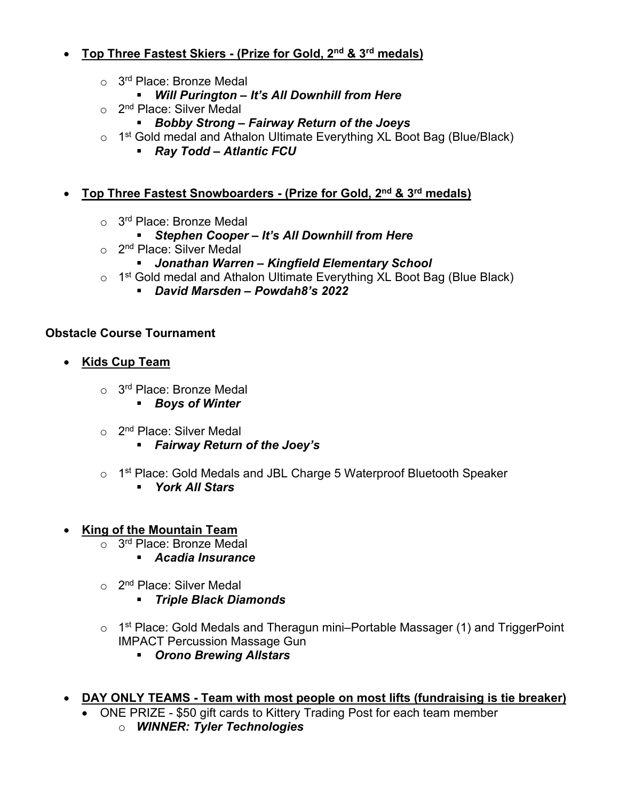# • **Top Three Fastest Skiers - (Prize for Gold, 2nd & 3rd medals)**

- $\circ$  3<sup>rd</sup> Place: Bronze Medal
	- *Will Purington – It's All Downhill from Here*
- o 2<sup>nd</sup> Place: Silver Medal
	- *Bobby Strong – Fairway Return of the Joeys*
- $\circ$  1<sup>st</sup> Gold medal and Athalon Ultimate Everything XL Boot Bag (Blue/Black)
	- *Ray Todd – Atlantic FCU*

## • **Top Three Fastest Snowboarders - (Prize for Gold, 2nd & 3rd medals)**

- $\circ$  3<sup>rd</sup> Place: Bronze Medal
	- *Stephen Cooper – It's All Downhill from Here*
- o 2<sup>nd</sup> Place: Silver Medal
	- *Jonathan Warren – Kingfield Elementary School*
- o 1<sup>st</sup> Gold medal and Athalon Ultimate Everything XL Boot Bag (Blue Black)
	- *David Marsden – Powdah8's 2022*

## **Obstacle Course Tournament**

- **Kids Cup Team**
	- $\circ$  3<sup>rd</sup> Place: Bronze Medal
		- *Boys of Winter*
	- $\circ$  2<sup>nd</sup> Place: Silver Medal
		- *Fairway Return of the Joey's*
	- o 1<sup>st</sup> Place: Gold Medals and JBL Charge 5 Waterproof Bluetooth Speaker
		- *York All Stars*
- **King of the Mountain Team**
	- o 3<sup>rd</sup> Place: Bronze Medal
		- *Acadia Insurance*
	- o 2<sup>nd</sup> Place: Silver Medal
		- *Triple Black Diamonds*
	- o 1<sup>st</sup> Place: Gold Medals and Theragun mini–Portable Massager (1) and TriggerPoint IMPACT Percussion Massage Gun
		- *Orono Brewing Allstars*
- **DAY ONLY TEAMS - Team with most people on most lifts (fundraising is tie breaker)**
	- ONE PRIZE \$50 gift cards to Kittery Trading Post for each team member
		- o *WINNER: Tyler Technologies*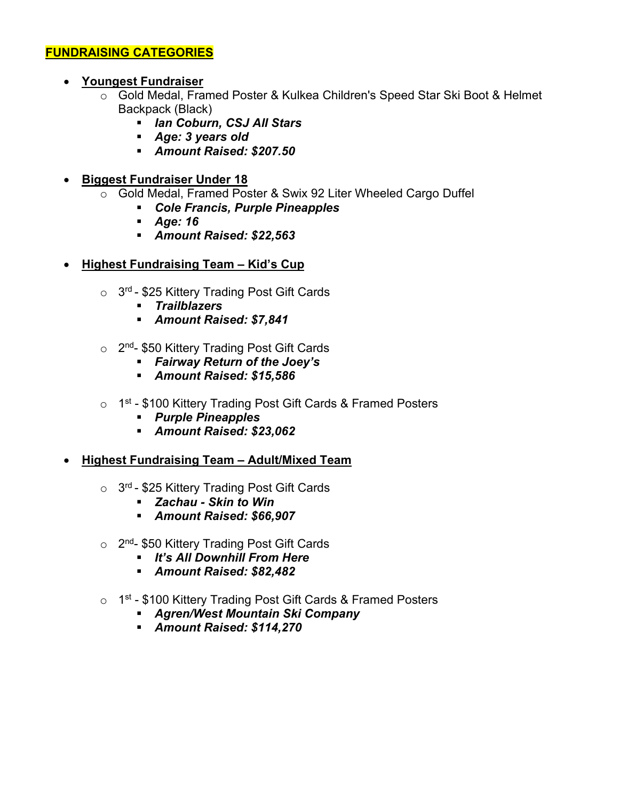## **FUNDRAISING CATEGORIES**

- **Youngest Fundraiser**
	- o Gold Medal, Framed Poster & Kulkea Children's Speed Star Ski Boot & Helmet Backpack (Black)
		- *Ian Coburn, CSJ All Stars*
		- *Age: 3 years old*
		- *Amount Raised: \$207.50*
- **Biggest Fundraiser Under 18** 
	- o Gold Medal, Framed Poster & Swix 92 Liter Wheeled Cargo Duffel
		- *Cole Francis, Purple Pineapples*
		- *Age: 16*
		- *Amount Raised: \$22,563*
- **Highest Fundraising Team – Kid's Cup**
	- $\circ$  3<sup>rd</sup> \$25 Kittery Trading Post Gift Cards
		- *Trailblazers*
		- *Amount Raised: \$7,841*
	- $\circ$  2<sup>nd</sup>- \$50 Kittery Trading Post Gift Cards
		- *Fairway Return of the Joey's*
		- *Amount Raised: \$15,586*
	- o 1<sup>st</sup> \$100 Kittery Trading Post Gift Cards & Framed Posters
		- *Purple Pineapples*
		- *Amount Raised: \$23,062*
- **Highest Fundraising Team – Adult/Mixed Team**
	- $\circ$  3<sup>rd</sup> \$25 Kittery Trading Post Gift Cards
		- *Zachau - Skin to Win*
		- *Amount Raised: \$66,907*
	- $\circ$  2<sup>nd</sup>- \$50 Kittery Trading Post Gift Cards
		- *It's All Downhill From Here*
		- *Amount Raised: \$82,482*
	- $\circ$  1<sup>st</sup> \$100 Kittery Trading Post Gift Cards & Framed Posters
		- *Agren/West Mountain Ski Company*
		- *Amount Raised: \$114,270*